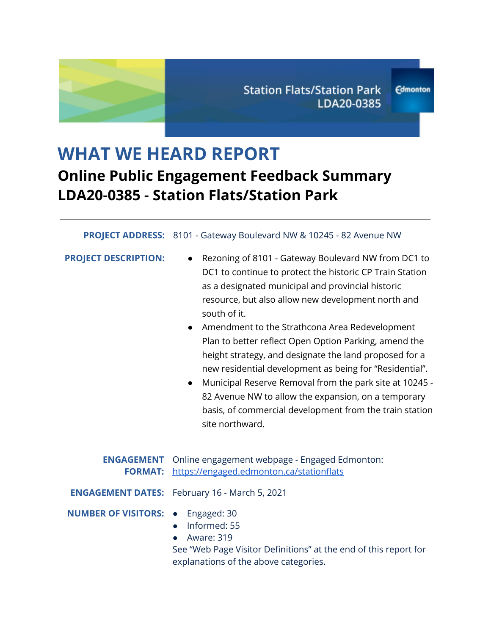# **WHAT WE HEARD REPORT Online Public Engagement Feedback Summary LDA20-0385 - Station Flats/Station Park**

#### **PROJECT ADDRESS:** 8101 - Gateway Boulevard NW & 10245 - 82 Avenue NW

|  |  |  | <b>PROJECT DESCRIPTION:</b> |  |
|--|--|--|-----------------------------|--|
|--|--|--|-----------------------------|--|

- **PRODUITION:** Rezoning of 8101 Gateway Boulevard NW from DC1 to DC1 to continue to protect the historic CP Train Station as a designated municipal and provincial historic resource, but also allow new development north and south of it.
- Amendment to the Strathcona Area Redevelopment Plan to better reflect Open Option Parking, amend the height strategy, and designate the land proposed for a new residential development as being for "Residential".
- Municipal Reserve Removal from the park site at 10245 82 Avenue NW to allow the expansion, on a temporary basis, of commercial development from the train station site northward.

|                                          | <b>ENGAGEMENT</b> Online engagement webpage - Engaged Edmonton:<br>FORMAT: https://engaged.edmonton.ca/stationflats                           |
|------------------------------------------|-----------------------------------------------------------------------------------------------------------------------------------------------|
|                                          | <b>ENGAGEMENT DATES:</b> February 16 - March 5, 2021                                                                                          |
| <b>NUMBER OF VISITORS: •</b> Engaged: 30 | • Informed: 55<br>• Aware: $319$<br>See "Web Page Visitor Definitions" at the end of this report for<br>explanations of the above categories. |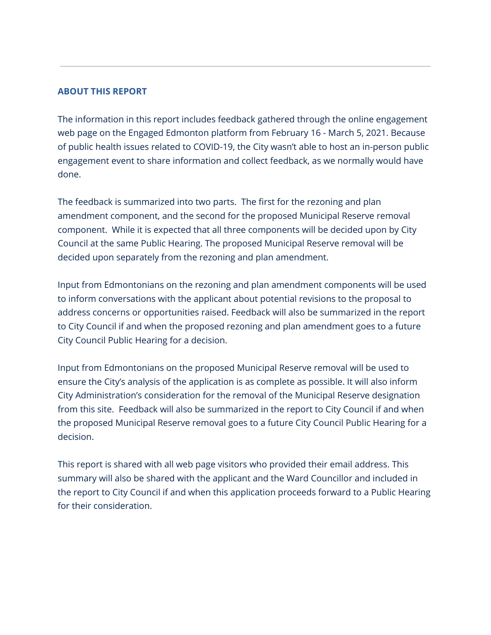#### **ABOUT THIS REPORT**

The information in this report includes feedback gathered through the online engagement web page on the Engaged Edmonton platform from February 16 - March 5, 2021. Because of public health issues related to COVID-19, the City wasn't able to host an in-person public engagement event to share information and collect feedback, as we normally would have done.

The feedback is summarized into two parts. The first for the rezoning and plan amendment component, and the second for the proposed Municipal Reserve removal component. While it is expected that all three components will be decided upon by City Council at the same Public Hearing. The proposed Municipal Reserve removal will be decided upon separately from the rezoning and plan amendment.

Input from Edmontonians on the rezoning and plan amendment components will be used to inform conversations with the applicant about potential revisions to the proposal to address concerns or opportunities raised. Feedback will also be summarized in the report to City Council if and when the proposed rezoning and plan amendment goes to a future City Council Public Hearing for a decision.

Input from Edmontonians on the proposed Municipal Reserve removal will be used to ensure the City's analysis of the application is as complete as possible. It will also inform City Administration's consideration for the removal of the Municipal Reserve designation from this site. Feedback will also be summarized in the report to City Council if and when the proposed Municipal Reserve removal goes to a future City Council Public Hearing for a decision.

This report is shared with all web page visitors who provided their email address. This summary will also be shared with the applicant and the Ward Councillor and included in the report to City Council if and when this application proceeds forward to a Public Hearing for their consideration.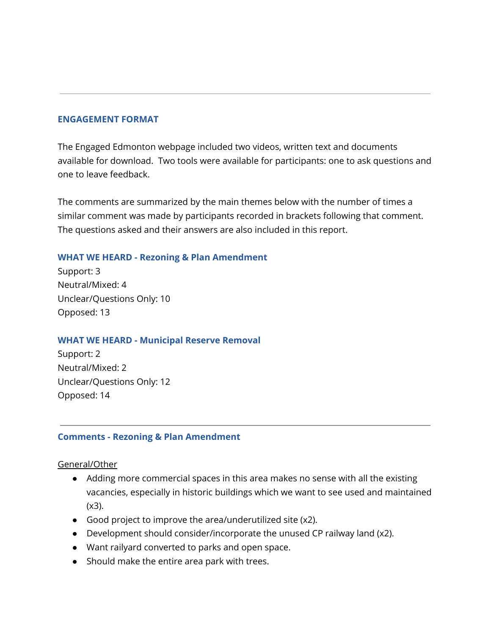#### **ENGAGEMENT FORMAT**

The Engaged Edmonton webpage included two videos, written text and documents available for download. Two tools were available for participants: one to ask questions and one to leave feedback.

The comments are summarized by the main themes below with the number of times a similar comment was made by participants recorded in brackets following that comment. The questions asked and their answers are also included in this report.

## **WHAT WE HEARD - Rezoning & Plan Amendment**

Support: 3 Neutral/Mixed: 4 Unclear/Questions Only: 10 Opposed: 13

## **WHAT WE HEARD - Municipal Reserve Removal**

Support: 2 Neutral/Mixed: 2 Unclear/Questions Only: 12 Opposed: 14

## **Comments - Rezoning & Plan Amendment**

General/Other

- Adding more commercial spaces in this area makes no sense with all the existing vacancies, especially in historic buildings which we want to see used and maintained (x3).
- Good project to improve the area/underutilized site (x2).
- Development should consider/incorporate the unused CP railway land (x2).
- Want railyard converted to parks and open space.
- Should make the entire area park with trees.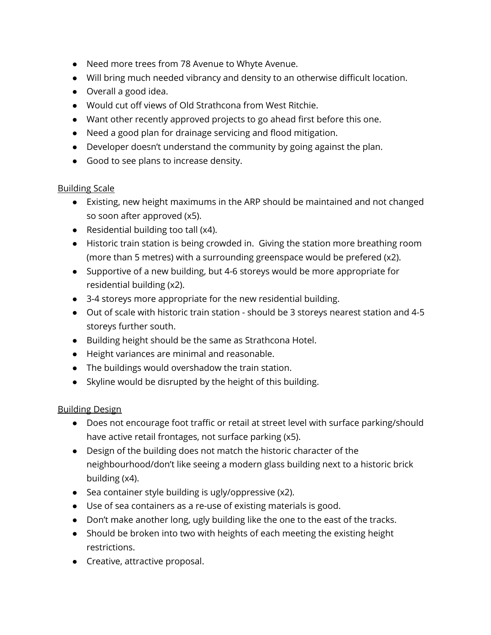- Need more trees from 78 Avenue to Whyte Avenue.
- Will bring much needed vibrancy and density to an otherwise difficult location.
- Overall a good idea.
- Would cut off views of Old Strathcona from West Ritchie.
- Want other recently approved projects to go ahead first before this one.
- Need a good plan for drainage servicing and flood mitigation.
- Developer doesn't understand the community by going against the plan.
- Good to see plans to increase density.

## Building Scale

- Existing, new height maximums in the ARP should be maintained and not changed so soon after approved (x5).
- Residential building too tall (x4).
- Historic train station is being crowded in. Giving the station more breathing room (more than 5 metres) with a surrounding greenspace would be prefered (x2).
- Supportive of a new building, but 4-6 storeys would be more appropriate for residential building (x2).
- 3-4 storeys more appropriate for the new residential building.
- Out of scale with historic train station should be 3 storeys nearest station and 4-5 storeys further south.
- Building height should be the same as Strathcona Hotel.
- Height variances are minimal and reasonable.
- The buildings would overshadow the train station.
- Skyline would be disrupted by the height of this building.

# Building Design

- Does not encourage foot traffic or retail at street level with surface parking/should have active retail frontages, not surface parking (x5).
- Design of the building does not match the historic character of the neighbourhood/don't like seeing a modern glass building next to a historic brick building (x4).
- Sea container style building is ugly/oppressive (x2).
- Use of sea containers as a re-use of existing materials is good.
- Don't make another long, ugly building like the one to the east of the tracks.
- Should be broken into two with heights of each meeting the existing height restrictions.
- Creative, attractive proposal.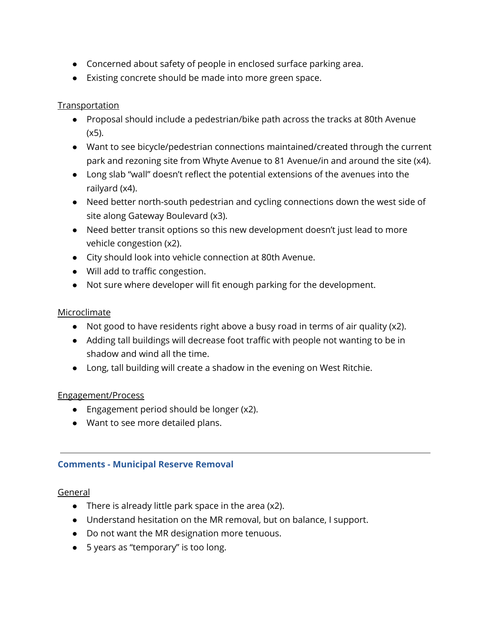- Concerned about safety of people in enclosed surface parking area.
- Existing concrete should be made into more green space.

# **Transportation**

- Proposal should include a pedestrian/bike path across the tracks at 80th Avenue  $(x5)$ .
- Want to see bicycle/pedestrian connections maintained/created through the current park and rezoning site from Whyte Avenue to 81 Avenue/in and around the site (x4).
- Long slab "wall" doesn't reflect the potential extensions of the avenues into the railyard (x4).
- Need better north-south pedestrian and cycling connections down the west side of site along Gateway Boulevard (x3).
- Need better transit options so this new development doesn't just lead to more vehicle congestion (x2).
- City should look into vehicle connection at 80th Avenue.
- Will add to traffic congestion.
- Not sure where developer will fit enough parking for the development.

## Microclimate

- Not good to have residents right above a busy road in terms of air quality (x2).
- Adding tall buildings will decrease foot traffic with people not wanting to be in shadow and wind all the time.
- Long, tall building will create a shadow in the evening on West Ritchie.

## Engagement/Process

- Engagement period should be longer (x2).
- Want to see more detailed plans.

# **Comments - Municipal Reserve Removal**

## General

- There is already little park space in the area (x2).
- Understand hesitation on the MR removal, but on balance, I support.
- Do not want the MR designation more tenuous.
- 5 years as "temporary" is too long.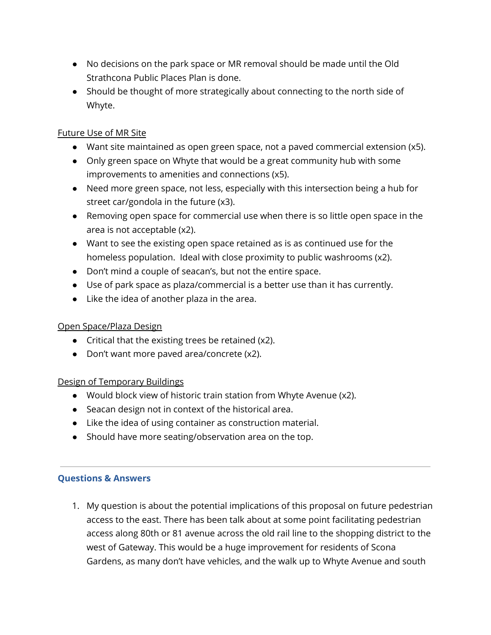- No decisions on the park space or MR removal should be made until the Old Strathcona Public Places Plan is done.
- Should be thought of more strategically about connecting to the north side of Whyte.

# Future Use of MR Site

- Want site maintained as open green space, not a paved commercial extension (x5).
- Only green space on Whyte that would be a great community hub with some improvements to amenities and connections (x5).
- Need more green space, not less, especially with this intersection being a hub for street car/gondola in the future (x3).
- Removing open space for commercial use when there is so little open space in the area is not acceptable (x2).
- Want to see the existing open space retained as is as continued use for the homeless population. Ideal with close proximity to public washrooms (x2).
- Don't mind a couple of seacan's, but not the entire space.
- Use of park space as plaza/commercial is a better use than it has currently.
- Like the idea of another plaza in the area.

## Open Space/Plaza Design

- Critical that the existing trees be retained  $(x2)$ .
- Don't want more paved area/concrete (x2).

## Design of Temporary Buildings

- Would block view of historic train station from Whyte Avenue (x2).
- Seacan design not in context of the historical area.
- Like the idea of using container as construction material.
- Should have more seating/observation area on the top.

## **Questions & Answers**

1. My question is about the potential implications of this proposal on future pedestrian access to the east. There has been talk about at some point facilitating pedestrian access along 80th or 81 avenue across the old rail line to the shopping district to the west of Gateway. This would be a huge improvement for residents of Scona Gardens, as many don't have vehicles, and the walk up to Whyte Avenue and south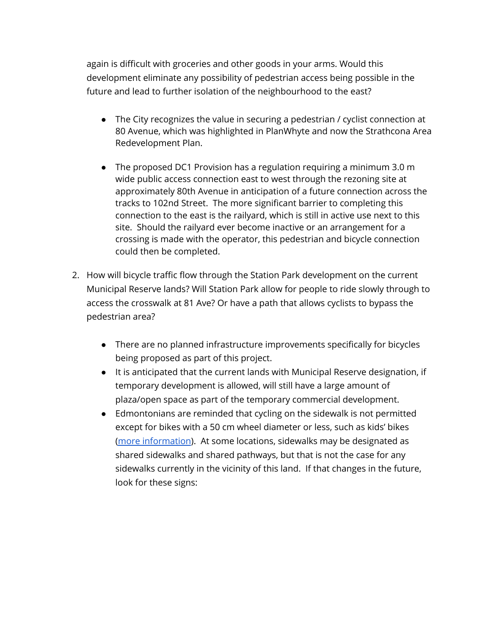again is difficult with groceries and other goods in your arms. Would this development eliminate any possibility of pedestrian access being possible in the future and lead to further isolation of the neighbourhood to the east?

- The City recognizes the value in securing a pedestrian / cyclist connection at 80 Avenue, which was highlighted in PlanWhyte and now the Strathcona Area Redevelopment Plan.
- The proposed DC1 Provision has a regulation requiring a minimum 3.0 m wide public access connection east to west through the rezoning site at approximately 80th Avenue in anticipation of a future connection across the tracks to 102nd Street. The more significant barrier to completing this connection to the east is the railyard, which is still in active use next to this site. Should the railyard ever become inactive or an arrangement for a crossing is made with the operator, this pedestrian and bicycle connection could then be completed.
- 2. How will bicycle traffic flow through the Station Park development on the current Municipal Reserve lands? Will Station Park allow for people to ride slowly through to access the crosswalk at 81 Ave? Or have a path that allows cyclists to bypass the pedestrian area?
	- There are no planned infrastructure improvements specifically for bicycles being proposed as part of this project.
	- It is anticipated that the current lands with Municipal Reserve designation, if temporary development is allowed, will still have a large amount of plaza/open space as part of the temporary commercial development.
	- Edmontonians are reminded that cycling on the sidewalk is not permitted except for bikes with a 50 cm wheel diameter or less, such as kids' bikes (more [information](https://www.edmonton.ca/transportation/Fact_Sheet_Cycling_on_SidewalkApr2015.pdf)). At some locations, sidewalks may be designated as shared sidewalks and shared pathways, but that is not the case for any sidewalks currently in the vicinity of this land. If that changes in the future, look for these signs: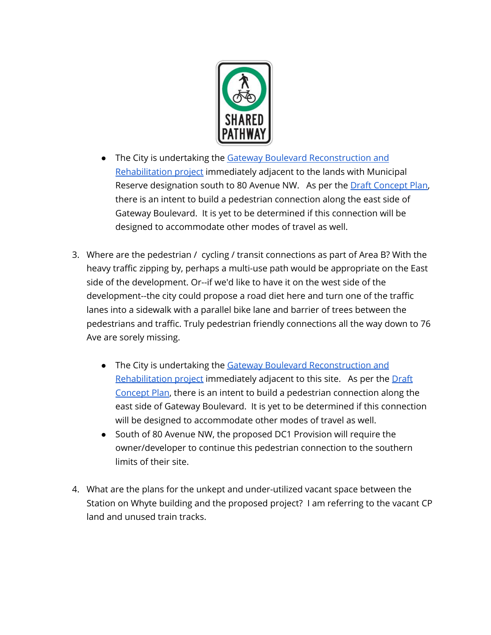

- The City is undertaking the Gateway Boulevard [Reconstruction](https://www.edmonton.ca/projects_plans/roads/gateway-boulevard-reconstruction-and-rehabilitation.aspx) and [Rehabilitation](https://www.edmonton.ca/projects_plans/roads/gateway-boulevard-reconstruction-and-rehabilitation.aspx) project immediately adjacent to the lands with Municipal Reserve designation south to 80 Avenue NW. As per the Draft [Concept](https://www.edmonton.ca/documents/RoadsTraffic/Gateway_Blvd_Concept.pdf) Plan, there is an intent to build a pedestrian connection along the east side of Gateway Boulevard. It is yet to be determined if this connection will be designed to accommodate other modes of travel as well.
- 3. Where are the pedestrian / cycling / transit connections as part of Area B? With the heavy traffic zipping by, perhaps a multi-use path would be appropriate on the East side of the development. Or--if we'd like to have it on the west side of the development--the city could propose a road diet here and turn one of the traffic lanes into a sidewalk with a parallel bike lane and barrier of trees between the pedestrians and traffic. Truly pedestrian friendly connections all the way down to 76 Ave are sorely missing.
	- The City is undertaking the Gateway Boulevard [Reconstruction](https://www.edmonton.ca/projects_plans/roads/gateway-boulevard-reconstruction-and-rehabilitation.aspx) and [Rehabilitation](https://www.edmonton.ca/projects_plans/roads/gateway-boulevard-reconstruction-and-rehabilitation.aspx) project immediately adjacent to this site. As per the [Draft](https://www.edmonton.ca/documents/RoadsTraffic/Gateway_Blvd_Concept.pdf) [Concept](https://www.edmonton.ca/documents/RoadsTraffic/Gateway_Blvd_Concept.pdf) Plan, there is an intent to build a pedestrian connection along the east side of Gateway Boulevard. It is yet to be determined if this connection will be designed to accommodate other modes of travel as well.
	- South of 80 Avenue NW, the proposed DC1 Provision will require the owner/developer to continue this pedestrian connection to the southern limits of their site.
- 4. What are the plans for the unkept and under-utilized vacant space between the Station on Whyte building and the proposed project? I am referring to the vacant CP land and unused train tracks.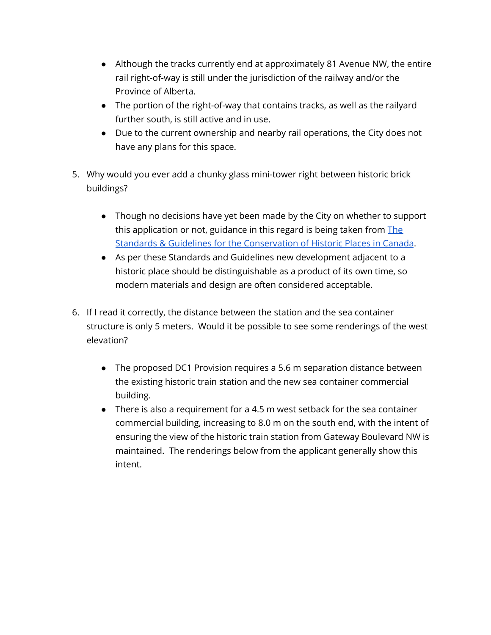- Although the tracks currently end at approximately 81 Avenue NW, the entire rail right-of-way is still under the jurisdiction of the railway and/or the Province of Alberta.
- The portion of the right-of-way that contains tracks, as well as the railyard further south, is still active and in use.
- Due to the current ownership and nearby rail operations, the City does not have any plans for this space.
- 5. Why would you ever add a chunky glass mini-tower right between historic brick buildings?
	- Though no decisions have yet been made by the City on whether to support this application or not, guidance in this regard is being taken from [The](https://www.historicplaces.ca/en/pages/standards-normes) Standards & Guidelines for the [Conservation](https://www.historicplaces.ca/en/pages/standards-normes) of Historic Places in Canada.
	- As per these Standards and Guidelines new development adjacent to a historic place should be distinguishable as a product of its own time, so modern materials and design are often considered acceptable.
- 6. If I read it correctly, the distance between the station and the sea container structure is only 5 meters. Would it be possible to see some renderings of the west elevation?
	- The proposed DC1 Provision requires a 5.6 m separation distance between the existing historic train station and the new sea container commercial building.
	- There is also a requirement for a 4.5 m west setback for the sea container commercial building, increasing to 8.0 m on the south end, with the intent of ensuring the view of the historic train station from Gateway Boulevard NW is maintained. The renderings below from the applicant generally show this intent.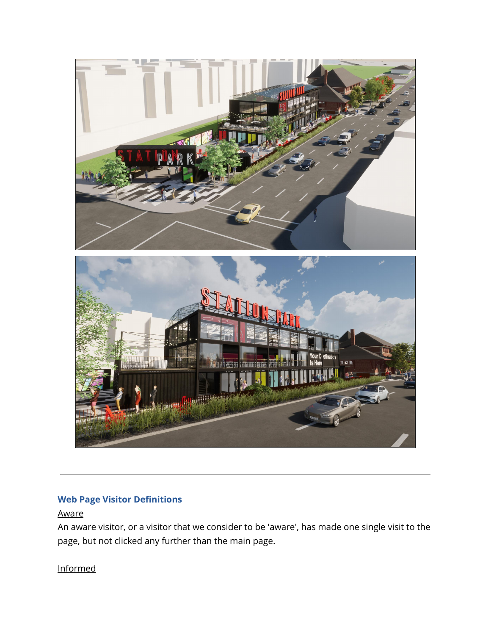

# **Web Page Visitor Definitions**

# Aware

An aware visitor, or a visitor that we consider to be 'aware', has made one single visit to the page, but not clicked any further than the main page.

# Informed